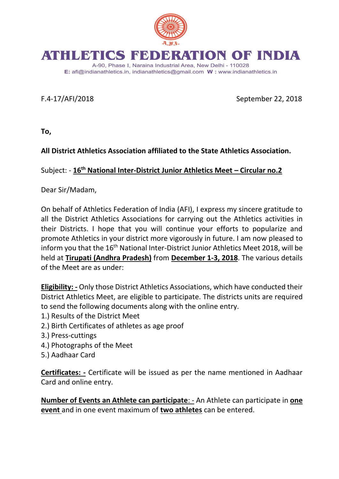

## RATION OF INDIA ATHILE MITCS NEW

A-90, Phase I, Naraina Industrial Area, New Delhi - 110028 E: afi@indianathletics.in, indianathletics@gmail.com W: www.indianathletics.in

F.4-17/AFI/2018 September 22, 2018

**To,**

**All District Athletics Association affiliated to the State Athletics Association.** 

Subject: - **16th National Inter-District Junior Athletics Meet – Circular no.2**

Dear Sir/Madam,

On behalf of Athletics Federation of India (AFI), I express my sincere gratitude to all the District Athletics Associations for carrying out the Athletics activities in their Districts. I hope that you will continue your efforts to popularize and promote Athletics in your district more vigorously in future. I am now pleased to inform you that the 16<sup>th</sup> National Inter-District Junior Athletics Meet 2018, will be held at **Tirupati (Andhra Pradesh)** from **December 1-3, 2018**. The various details of the Meet are as under:

**Eligibility: -** Only those District Athletics Associations, which have conducted their District Athletics Meet, are eligible to participate. The districts units are required to send the following documents along with the online entry.

- 1.) Results of the District Meet
- 2.) Birth Certificates of athletes as age proof
- 3.) Press-cuttings
- 4.) Photographs of the Meet
- 5.) Aadhaar Card

**Certificates: -** Certificate will be issued as per the name mentioned in Aadhaar Card and online entry.

**Number of Events an Athlete can participate**: - An Athlete can participate in **one event** and in one event maximum of **two athletes** can be entered.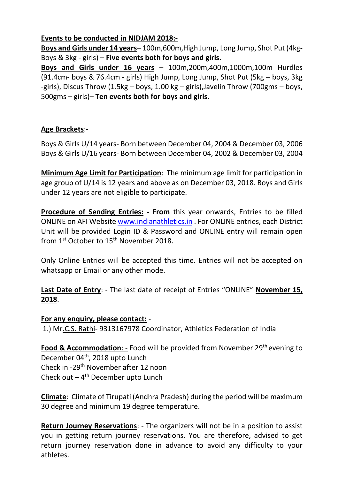## **Events to be conducted in NIDJAM 2018:-**

**Boys and Girls under 14 years**– 100m,600m,High Jump, Long Jump, Shot Put (4kg-Boys & 3kg - girls) – **Five events both for boys and girls.**

**Boys and Girls under 16 years** – 100m,200m,400m,1000m,100m Hurdles (91.4cm- boys & 76.4cm - girls) High Jump, Long Jump, Shot Put (5kg – boys, 3kg -girls), Discus Throw (1.5kg – boys, 1.00 kg – girls),Javelin Throw (700gms – boys, 500gms – girls)– **Ten events both for boys and girls.**

## **Age Brackets**:-

Boys & Girls U/14 years- Born between December 04, 2004 & December 03, 2006 Boys & Girls U/16 years- Born between December 04, 2002 & December 03, 2004

**Minimum Age Limit for Participation**: The minimum age limit for participation in age group of U/14 is 12 years and above as on December 03, 2018. Boys and Girls under 12 years are not eligible to participate.

**Procedure of Sending Entries: - From** this year onwards, Entries to be filled ONLINE on AFI Website [www.indianathletics.in](http://www.indianathletics.in/) . For ONLINE entries, each District Unit will be provided Login ID & Password and ONLINE entry will remain open from 1<sup>st</sup> October to 15<sup>th</sup> November 2018.

Only Online Entries will be accepted this time. Entries will not be accepted on whatsapp or Email or any other mode.

**Last Date of Entry**: - The last date of receipt of Entries "ONLINE" **November 15, 2018**.

## **For any enquiry, please contact:** -

1.) Mr.C.S. Rathi- 9313167978 Coordinator, Athletics Federation of India

**Food & Accommodation:** - Food will be provided from November 29<sup>th</sup> evening to December 04<sup>th</sup>, 2018 upto Lunch Check in -29th November after 12 noon Check out  $-4$ <sup>th</sup> December upto Lunch

**Climate**: Climate of Tirupati (Andhra Pradesh) during the period will be maximum 30 degree and minimum 19 degree temperature.

**Return Journey Reservations**: - The organizers will not be in a position to assist you in getting return journey reservations. You are therefore, advised to get return journey reservation done in advance to avoid any difficulty to your athletes.